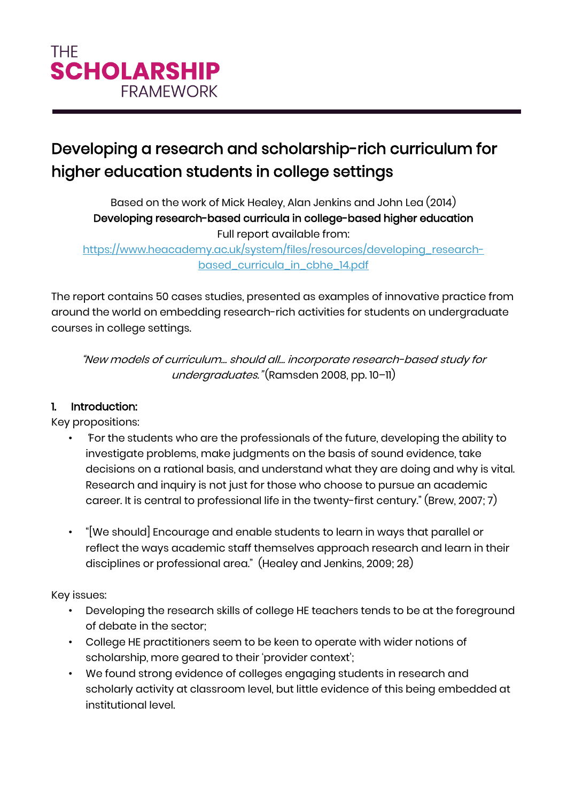# Developing a research and scholarship-rich curriculum for higher education students in college settings

Based on the work of Mick Healey, Alan Jenkins and John Lea (2014) Developing research-based curricula in college-based higher education Full report available from:

[https://www.heacademy.ac.uk/system/files/resources/developing\\_research](https://www.heacademy.ac.uk/system/files/resources/developing_research-based_curricula_in_cbhe_14.pdf)[based\\_curricula\\_in\\_cbhe\\_14.pdf](https://www.heacademy.ac.uk/system/files/resources/developing_research-based_curricula_in_cbhe_14.pdf)

The report contains 50 cases studies, presented as examples of innovative practice from around the world on embedding research-rich activities for students on undergraduate courses in college settings.

"New models of curriculum… should all… incorporate research-based study for undergraduates." (Ramsden 2008, pp. 10-11)

## 1. Introduction:

Key propositions:

- "For the students who are the professionals of the future, developing the ability to investigate problems, make judgments on the basis of sound evidence, take decisions on a rational basis, and understand what they are doing and why is vital. Research and inquiry is not just for those who choose to pursue an academic career. It is central to professional life in the twenty-first century." (Brew, 2007; 7)
- "[We should] Encourage and enable students to learn in ways that parallel or reflect the ways academic staff themselves approach research and learn in their disciplines or professional area." (Healey and Jenkins, 2009; 28)

Key issues:

- Developing the research skills of college HE teachers tends to be at the foreground of debate in the sector;
- College HE practitioners seem to be keen to operate with wider notions of scholarship, more geared to their 'provider context';
- We found strong evidence of colleges engaging students in research and scholarly activity at classroom level, but little evidence of this being embedded at institutional level.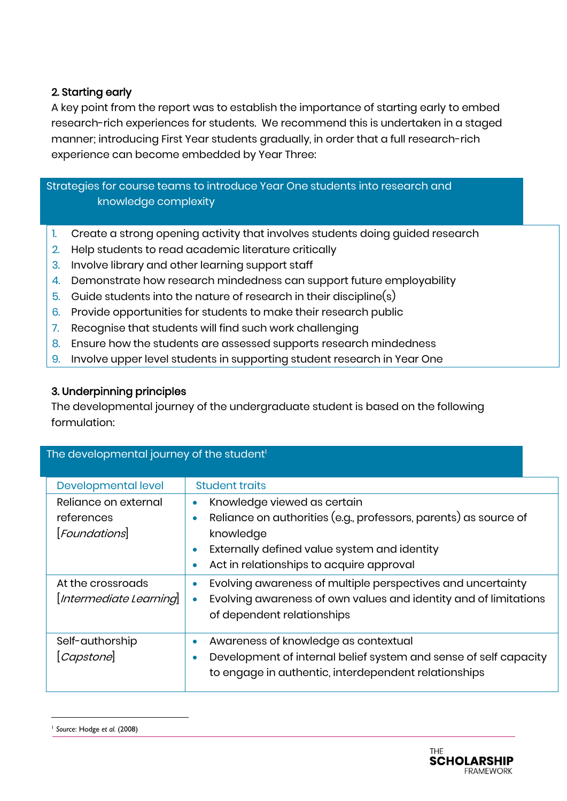### 2. Starting early

A key point from the report was to establish the importance of starting early to embed research-rich experiences for students. We recommend this is undertaken in a staged manner; introducing First Year students gradually, in order that a full research-rich experience can become embedded by Year Three:

 Strategies for course teams to introduce Year One students into research and knowledge complexity

- 1. Create a strong opening activity that involves students doing guided research
- 2. Help students to read academic literature critically
- 3. Involve library and other learning support staff
- 4. Demonstrate how research mindedness can support future employability
- 5. Guide students into the nature of research in their discipline(s)
- 6. Provide opportunities for students to make their research public
- 7. Recognise that students will find such work challenging
- 8. Ensure how the students are assessed supports research mindedness
- 9. Involve upper level students in supporting student research in Year One

#### 3. Underpinning principles

The developmental journey of the undergraduate student is based on the following formulation:

| The developmental journey of the student <sup>1</sup> |                                                                                                                                                                    |  |  |  |  |
|-------------------------------------------------------|--------------------------------------------------------------------------------------------------------------------------------------------------------------------|--|--|--|--|
| <b>Developmental level</b>                            | <b>Student traits</b>                                                                                                                                              |  |  |  |  |
| Reliance on external                                  | Knowledge viewed as certain<br>$\bullet$                                                                                                                           |  |  |  |  |
| references                                            | Reliance on authorities (e.g., professors, parents) as source of                                                                                                   |  |  |  |  |
| <b>Foundations</b>                                    | knowledge                                                                                                                                                          |  |  |  |  |
|                                                       | Externally defined value system and identity                                                                                                                       |  |  |  |  |
|                                                       | Act in relationships to acquire approval                                                                                                                           |  |  |  |  |
| At the crossroads<br>[Intermediate Learning]          | Evolving awareness of multiple perspectives and uncertainty<br>Evolving awareness of own values and identity and of limitations<br>۰<br>of dependent relationships |  |  |  |  |
| Self-authorship<br>[Capstone]                         | Awareness of knowledge as contextual<br>Development of internal belief system and sense of self capacity<br>to engage in authentic, interdependent relationships   |  |  |  |  |

-

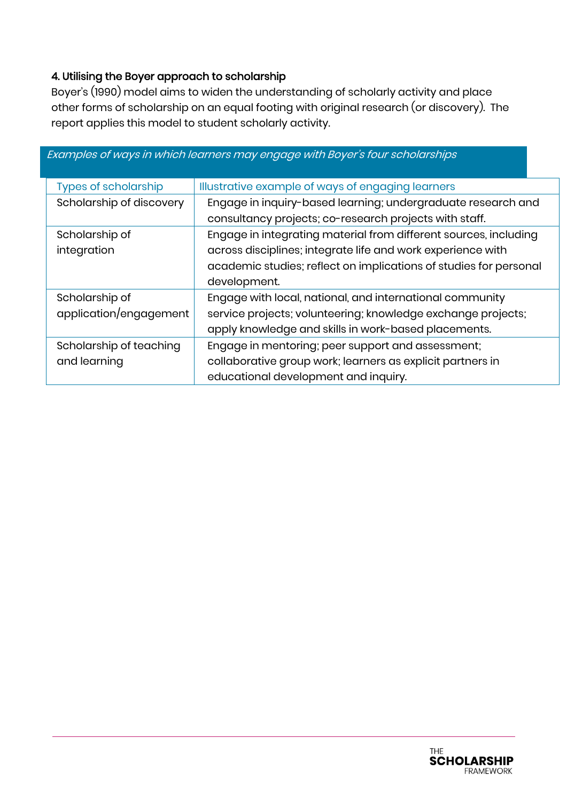### 4. Utilising the Boyer approach to scholarship

Boyer's (1990) model aims to widen the understanding of scholarly activity and place other forms of scholarship on an equal footing with original research (or discovery). The report applies this model to student scholarly activity.

|                             | EXAMIPIES OF WAYS IN WHICH IEAMIERS MAY ENGAGE WILH BOYERS TOUR SCHOIARMIPS. |  |  |  |
|-----------------------------|------------------------------------------------------------------------------|--|--|--|
| <b>Types of scholarship</b> | Illustrative example of ways of engaging learners                            |  |  |  |
| Scholarship of discovery    | Engage in inquiry-based learning; undergraduate research and                 |  |  |  |
|                             | consultancy projects; co-research projects with staff.                       |  |  |  |
| Scholarship of              | Engage in integrating material from different sources, including             |  |  |  |
| integration                 | across disciplines; integrate life and work experience with                  |  |  |  |
|                             | academic studies; reflect on implications of studies for personal            |  |  |  |
|                             | development.                                                                 |  |  |  |
| Scholarship of              | Engage with local, national, and international community                     |  |  |  |
| application/engagement      | service projects; volunteering; knowledge exchange projects;                 |  |  |  |
|                             | apply knowledge and skills in work-based placements.                         |  |  |  |
| Scholarship of teaching     | Engage in mentoring; peer support and assessment;                            |  |  |  |
| and learning                | collaborative group work; learners as explicit partners in                   |  |  |  |
|                             | educational development and inquiry.                                         |  |  |  |

#### Examples of ways in which learners may engage with Boyer's four scholarships

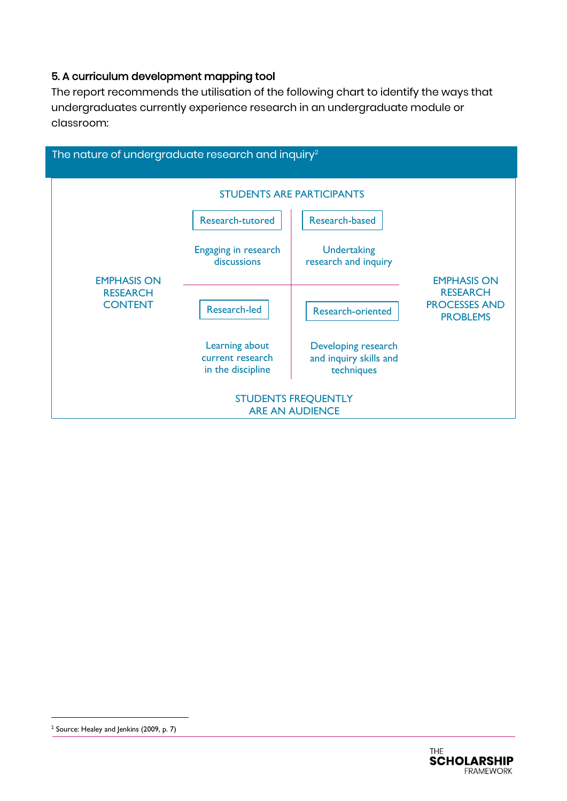#### 5. A curriculum development mapping tool

The report recommends the utilisation of the following chart to identify the ways that undergraduates currently experience research in an undergraduate module or classroom:



-



<sup>&</sup>lt;sup>2</sup> Source: Healey and Jenkins (2009, p. 7)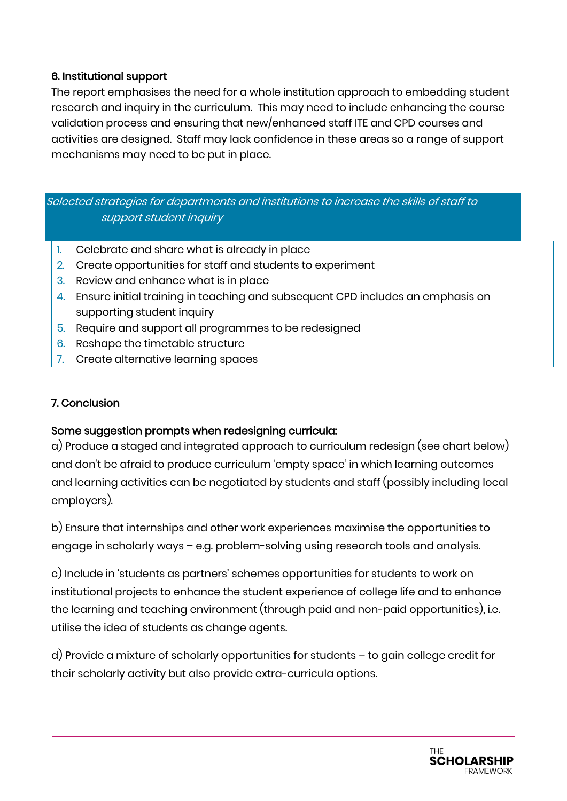### 6. Institutional support

The report emphasises the need for a whole institution approach to embedding student research and inquiry in the curriculum. This may need to include enhancing the course validation process and ensuring that new/enhanced staff ITE and CPD courses and activities are designed. Staff may lack confidence in these areas so a range of support mechanisms may need to be put in place.

Selected strategies for departments and institutions to increase the skills of staff to support student inquiry

- 1. Celebrate and share what is already in place
- 2. Create opportunities for staff and students to experiment
- 3. Review and enhance what is in place
- 4. Ensure initial training in teaching and subsequent CPD includes an emphasis on supporting student inquiry
- 5. Require and support all programmes to be redesigned
- 6. Reshape the timetable structure
- 7. Create alternative learning spaces

### 7. Conclusion

#### Some suggestion prompts when redesigning curricula:

a) Produce a staged and integrated approach to curriculum redesign (see chart below) and don't be afraid to produce curriculum 'empty space' in which learning outcomes and learning activities can be negotiated by students and staff (possibly including local employers).

b) Ensure that internships and other work experiences maximise the opportunities to engage in scholarly ways – e.g. problem-solving using research tools and analysis.

c) Include in 'students as partners' schemes opportunities for students to work on institutional projects to enhance the student experience of college life and to enhance the learning and teaching environment (through paid and non-paid opportunities), i.e. utilise the idea of students as change agents.

d) Provide a mixture of scholarly opportunities for students – to gain college credit for their scholarly activity but also provide extra-curricula options.

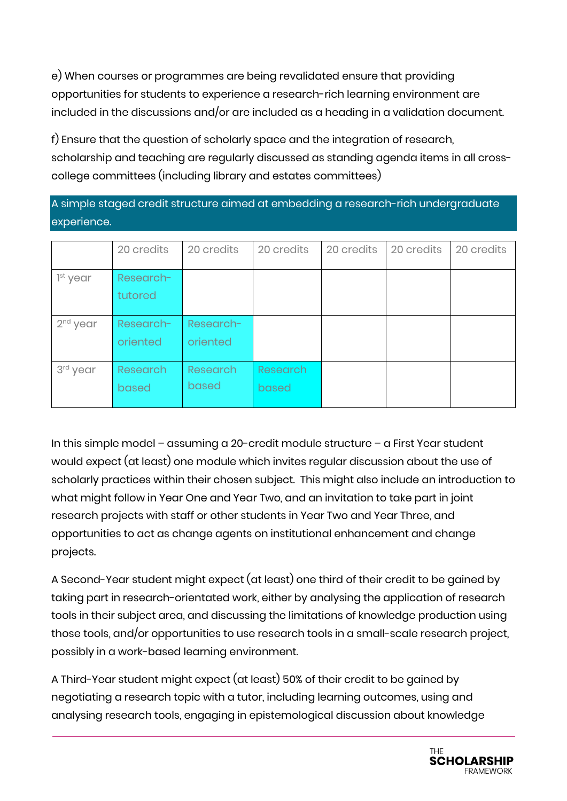e) When courses or programmes are being revalidated ensure that providing opportunities for students to experience a research-rich learning environment are included in the discussions and/or are included as a heading in a validation document.

f) Ensure that the question of scholarly space and the integration of research, scholarship and teaching are regularly discussed as standing agenda items in all crosscollege committees (including library and estates committees)

A simple staged credit structure aimed at embedding a research-rich undergraduate experience.

|                      | 20 credits               | 20 credits            | 20 credits               | 20 credits | 20 credits | 20 credits |
|----------------------|--------------------------|-----------------------|--------------------------|------------|------------|------------|
| 1 <sup>st</sup> year | Research-<br>tutored     |                       |                          |            |            |            |
| $2nd$ year           | Research-<br>oriented    | Research-<br>oriented |                          |            |            |            |
| 3rd year             | <b>Research</b><br>based | Research<br>based     | <b>Research</b><br>based |            |            |            |

In this simple model – assuming a 20-credit module structure – a First Year student would expect (at least) one module which invites regular discussion about the use of scholarly practices within their chosen subject. This might also include an introduction to what might follow in Year One and Year Two, and an invitation to take part in joint research projects with staff or other students in Year Two and Year Three, and opportunities to act as change agents on institutional enhancement and change projects.

A Second-Year student might expect (at least) one third of their credit to be gained by taking part in research-orientated work, either by analysing the application of research tools in their subject area, and discussing the limitations of knowledge production using those tools, and/or opportunities to use research tools in a small-scale research project, possibly in a work-based learning environment.

A Third-Year student might expect (at least) 50% of their credit to be gained by negotiating a research topic with a tutor, including learning outcomes, using and analysing research tools, engaging in epistemological discussion about knowledge

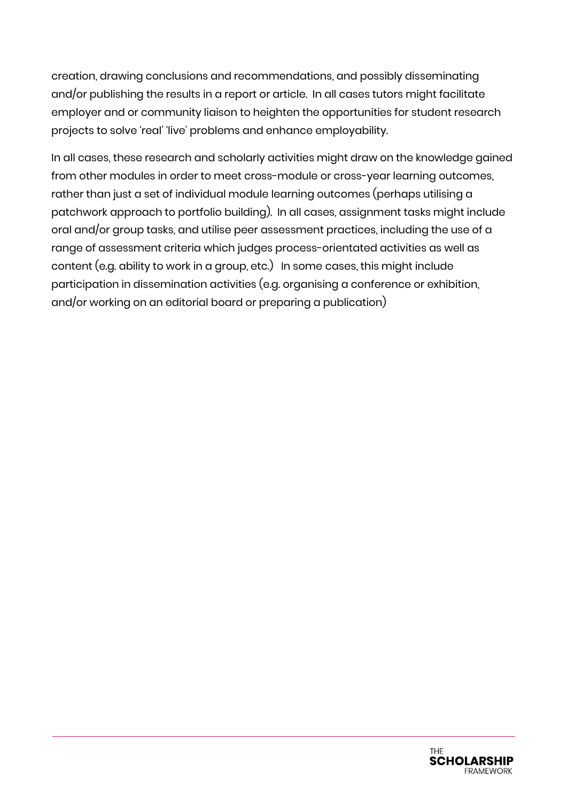creation, drawing conclusions and recommendations, and possibly disseminating and/or publishing the results in a report or article. In all cases tutors might facilitate employer and or community liaison to heighten the opportunities for student research projects to solve 'real' 'live' problems and enhance employability.

In all cases, these research and scholarly activities might draw on the knowledge gained from other modules in order to meet cross-module or cross-year learning outcomes, rather than just a set of individual module learning outcomes (perhaps utilising a patchwork approach to portfolio building). In all cases, assignment tasks might include oral and/or group tasks, and utilise peer assessment practices, including the use of a range of assessment criteria which judges process-orientated activities as well as content (e.g. ability to work in a group, etc.) In some cases, this might include participation in dissemination activities (e.g. organising a conference or exhibition, and/or working on an editorial board or preparing a publication)

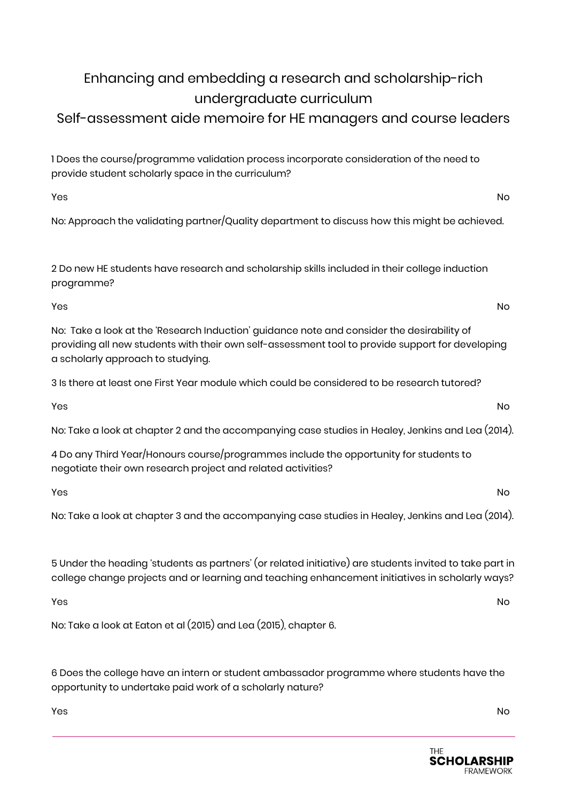# Enhancing and embedding a research and scholarship-rich undergraduate curriculum

# Self-assessment aide memoire for HE managers and course leaders

1 Does the course/programme validation process incorporate consideration of the need to provide student scholarly space in the curriculum?

yes the contract of the contract of the contract of the contract of the contract of the contract of the contract of the contract of the contract of the contract of the contract of the contract of the contract of the contra

No: Approach the validating partner/Quality department to discuss how this might be achieved.

2 Do new HE students have research and scholarship skills included in their college induction programme?

yes the contract of the contract of the contract of the contract of the contract of the contract of the contract of the contract of the contract of the contract of the contract of the contract of the contract of the contra

No: Take a look at the 'Research Induction' guidance note and consider the desirability of providing all new students with their own self-assessment tool to provide support for developing a scholarly approach to studying.

3 Is there at least one First Year module which could be considered to be research tutored?

yes the contract of the contract of the contract of the contract of the contract of the contract of the contract of the contract of the contract of the contract of the contract of the contract of the contract of the contra

No: Take a look at chapter 2 and the accompanying case studies in Healey, Jenkins and Lea (2014).

4 Do any Third Year/Honours course/programmes include the opportunity for students to negotiate their own research project and related activities?

yes the contract of the contract of the contract of the contract of the contract of the contract of the contract of the contract of the contract of the contract of the contract of the contract of the contract of the contra

No: Take a look at chapter 3 and the accompanying case studies in Healey, Jenkins and Lea (2014).

5 Under the heading 'students as partners' (or related initiative) are students invited to take part in college change projects and or learning and teaching enhancement initiatives in scholarly ways?

yes the contract of the contract of the contract of the contract of the contract of the contract of the contract of the contract of the contract of the contract of the contract of the contract of the contract of the contra

No: Take a look at Eaton et al (2015) and Lea (2015), chapter 6.

6 Does the college have an intern or student ambassador programme where students have the opportunity to undertake paid work of a scholarly nature?

yes the contract of the contract of the contract of the contract of the contract of the contract of the contract of the contract of the contract of the contract of the contract of the contract of the contract of the contra